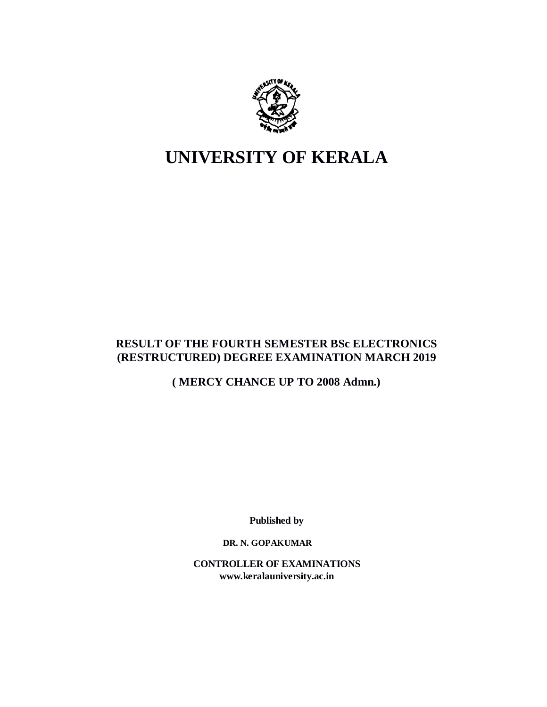

# **UNIVERSITY OF KERALA**

## **RESULT OF THE FOURTH SEMESTER BSc ELECTRONICS (RESTRUCTURED) DEGREE EXAMINATION MARCH 2019**

**( MERCY CHANCE UP TO 2008 Admn.)**

**Published by**

**DR. N. GOPAKUMAR**

**CONTROLLER OF EXAMINATIONS [www.keralauniversity.ac.in](http://www.keralauniversity.ac.in/)**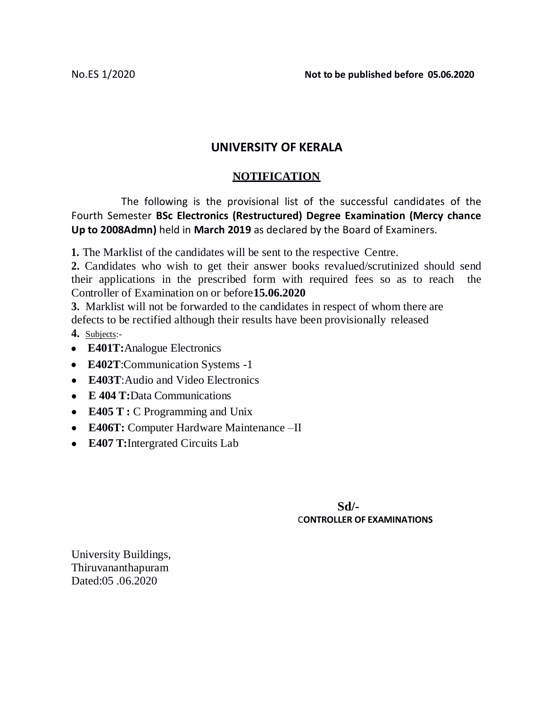# **UNIVERSITY OF KERALA**

# **NOTIFICATION**

The following is the provisional list of the successful candidates of the Fourth Semester **BSc Electronics (Restructured) Degree Examination (Mercy chance Up to 2008Admn)** held in **March 2019** as declared by the Board of Examiners.

**1.** The Marklist of the candidates will be sent to the respective Centre.

**2.** Candidates who wish to get their answer books revalued/scrutinized should send their applications in the prescribed form with required fees so as to reach the Controller of Examination on or before**15.06.2020**

**3.** Marklist will not be forwarded to the candidates in respect of whom there are defects to be rectified although their results have been provisionally released

- **4.** Subjects:-
- **E401T:**Analogue Electronics
- **E402T**:Communication Systems -1
- **E403T:** Audio and Video Electronics
- **E 404 T:**Data Communications
- **E405 T :** C Programming and Unix
- **E406T:** Computer Hardware Maintenance –II
- **E407 T:**Intergrated Circuits Lab

 **Sd/-** C**ONTROLLER OF EXAMINATIONS**

University Buildings, Thiruvananthapuram Dated:05 .06.2020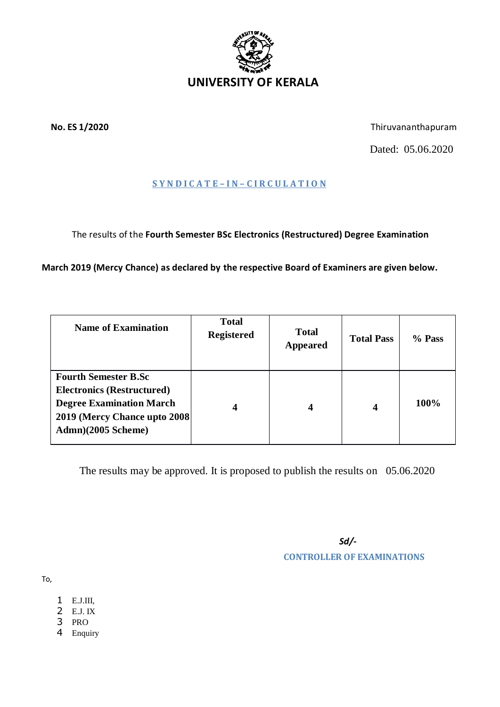

**No. ES 1/2020** Thiruvananthapuram

Dated: 05.06.2020

## **S Y N D I C A T E – I N – C I R C U L A T I O N**

The results of the **Fourth Semester BSc Electronics (Restructured) Degree Examination** 

**March 2019 (Mercy Chance) as declared by the respective Board of Examiners are given below.**

| <b>Name of Examination</b>                                                                                                                                 | <b>Total</b><br><b>Registered</b> | <b>Total</b><br>Appeared | <b>Total Pass</b> | % Pass |
|------------------------------------------------------------------------------------------------------------------------------------------------------------|-----------------------------------|--------------------------|-------------------|--------|
| <b>Fourth Semester B.Sc</b><br><b>Electronics (Restructured)</b><br><b>Degree Examination March</b><br>2019 (Mercy Chance upto 2008)<br>Admn)(2005 Scheme) | 4                                 | 4                        | 4                 | 100%   |

The results may be approved. It is proposed to publish the results on 05.06.2020

*Sd/-* **CONTROLLER OF EXAMINATIONS**

To,

- 1 E.J.III,
- 2 E.J. IX
- 3 PRO
- 4 Enquiry